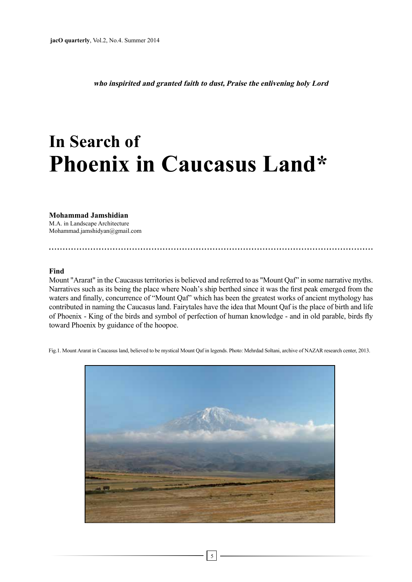who inspirited and granted faith to dust, Praise the enlivening holy Lord

# **In Search of Phoenix in Caucasus Land\***

**Jamshidian Mohammad** M.A. in Landscape Architecture  $Mohammad.jamshidyan@gmail.com$ 

#### **Find**

Mount "Ararat" in the Caucasus territories is believed and referred to as "Mount Qaf" in some narrative myths. Narratives such as its being the place where Noah's ship berthed since it was the first peak emerged from the waters and finally, concurrence of "Mount Qaf" which has been the greatest works of ancient mythology has contributed in naming the Caucasus land. Fairytales have the idea that Mount Qaf is the place of birth and life of Phoenix - King of the birds and symbol of perfection of human knowledge - and in old parable, birds fly toward Phoenix by guidance of the hoopoe.

Fig.1. Mount Ararat in Caucasus land, believed to be mystical Mount Qaf in legends. Photo: Mehrdad Soltani, archive of NAZAR research center, 2013.

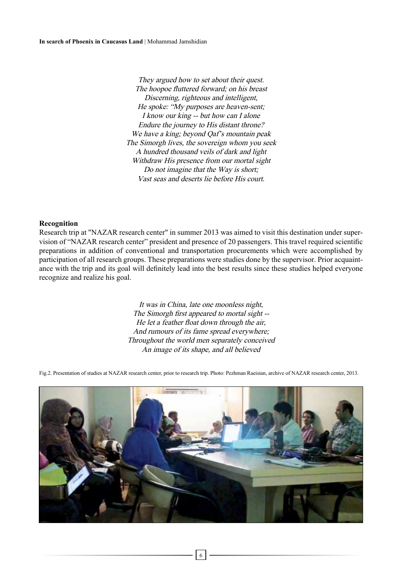They argued how to set about their quest. The hoopoe fluttered forward; on his breast Discerning, righteous and intelligent, He spoke: "My purposes are heaven-sent;  $I$  know our king -- but how can  $I$  alone Endure the journey to His distant throne? We have a king; beyond Qaf's mountain peak The Simorgh lives, the sovereign whom you seek A hundred thousand veils of dark and light Withdraw His presence from our mortal sight Do not imagine that the Way is short; Vast seas and deserts lie before His court.

#### **Recognition**

vision of "NAZAR research center" president and presence of 20 passengers. This travel required scientific Research trip at "NAZAR research center" in summer 2013 was aimed to visit this destination under superpreparations in addition of conventional and transportation procurements which were accomplished by ance with the trip and its goal will definitely lead into the best results since these studies helped everyone participation of all research groups. These preparations were studies done by the supervisor. Prior acquaintrecognize and realize his goal.

> It was in China, late one moonless night, The Simorgh first appeared to mortal sight --He let a feather float down through the air, And rumours of its fame spread everywhere; Throughout the world men separately conceived An image of its shape, and all believed

Fig.2. Presentation of studies at NAZAR research center, prior to research trip. Photo: Pezhman Raeisian, archive of NAZAR research center, 2013.



6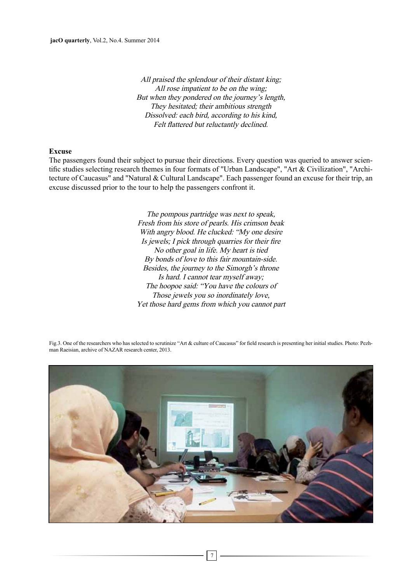All praised the splendour of their distant king; All rose impatient to be on the wing; But when they pondered on the journey's length, They hesitated; their ambitious strength Dissolved: each bird, according to his kind, Felt flattered but reluctantly declined.

#### **Excuse**

tecture of Caucasus" and "Natural & Cultural Landscape". Each passenger found an excuse for their trip, an tific studies selecting research themes in four formats of "Urban Landscape", "Art & Civilization", "Archi-The passengers found their subject to pursue their directions. Every question was queried to answer scienexcuse discussed prior to the tour to help the passengers confront it.

> The pompous partridge was next to speak, Fresh from his store of pearls. His crimson beak With angry blood. He clucked: "My one desire Is jewels; I pick through quarries for their fire No other goal in life. My heart is tied By bonds of love to this fair mountain-side. Besides, the journey to the Simorgh's throne Is hard. I cannot tear myself away; The hoopoe said: "You have the colours of Those jewels you so inordinately love, Yet those hard gems from which you cannot part



Fig.3. One of the researchers who has selected to scrutinize "Art & culture of Caucasus" for field research is presenting her initial studies. Photo: Pezh-<br>man Raeisian, archive of NAZAR research center, 2013.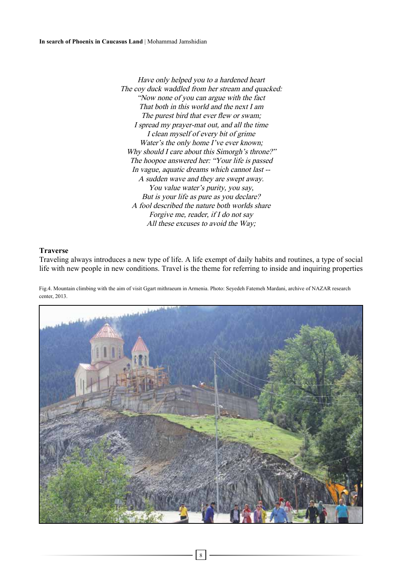Have only helped you to a hardened heart The cov duck waddled from her stream and quacked: "Now none of you can argue with the fact That both in this world and the next  $I$  am The purest bird that ever flew or swam; I spread my prayer-mat out, and all the time I clean myself of every bit of grime Water's the only home  $I'$  ve ever known; Why should I care about this Simorgh's throne?" The hoopoe answered her: "Your life is passed In vague, aquatic dreams which cannot last --A sudden wave and they are swept away. You value water's purity, you say, But is your life as pure as you declare? A fool described the nature both worlds share Forgive me, reader, if  $I$  do not say All these excuses to avoid the Way;

### **Traverse**

Traveling always introduces a new type of life. A life exempt of daily habits and routines, a type of social life with new people in new conditions. Travel is the theme for referring to inside and inquiring properties

Fig.4. Mountain climbing with the aim of visit Ggart mithraeum in Armenia. Photo: Seyedeh Fatemeh Mardani, archive of NAZAR research center, 2013.



8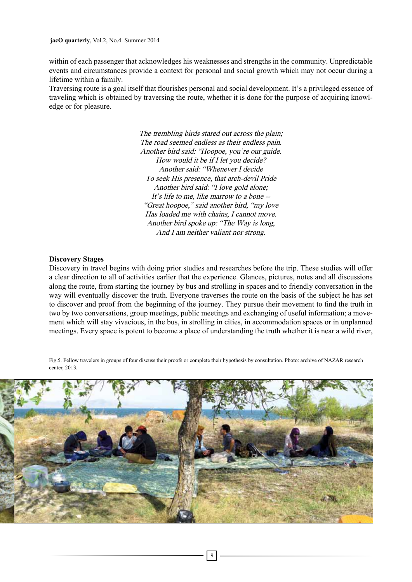within of each passenger that acknowledges his weaknesses and strengths in the community. Unpredictable events and circumstances provide a context for personal and social growth which may not occur during a lifetime within a family.

Traversing route is a goal itself that flourishes personal and social development. It's a privileged essence of traveling which is obtained by traversing the route, whether it is done for the purpose of acquiring knowledge or for pleasure.

> The trembling birds stared out across the plain; The road seemed endless as their endless pain. Another bird said: "Hoopoe, you're our guide. How would it be if  $I$  let you decide? Another said: "Whenever I decide To seek His presence, that arch-devil Pride Another bird said: "I love gold alone; It's life to me, like marrow to a bone  $-$ "Great hoopoe," said another bird, "my love" Has loaded me with chains, I cannot move. Another bird spoke up: "The Way is long, And I am neither valiant nor strong.

#### **Discovery** Stages

Discovery in travel begins with doing prior studies and researches before the trip. These studies will offer a clear direction to all of activities earlier that the experience. Glances, pictures, notes and all discussions along the route, from starting the journey by bus and strolling in spaces and to friendly conversation in the way will eventually discover the truth. Everyone traverses the route on the basis of the subject he has set to discover and proof from the beginning of the journey. They pursue their movement to find the truth in ment which will stay vivacious, in the bus, in strolling in cities, in accommodation spaces or in unplanned two by two conversations, group meetings, public meetings and exchanging of useful information; a movemeetings. Every space is potent to become a place of understanding the truth whether it is near a wild river,

Fig.5. Fellow travelers in groups of four discuss their proofs or complete their hypothesis by consultation. Photo: archive of NAZAR research  $center. 2013$ 

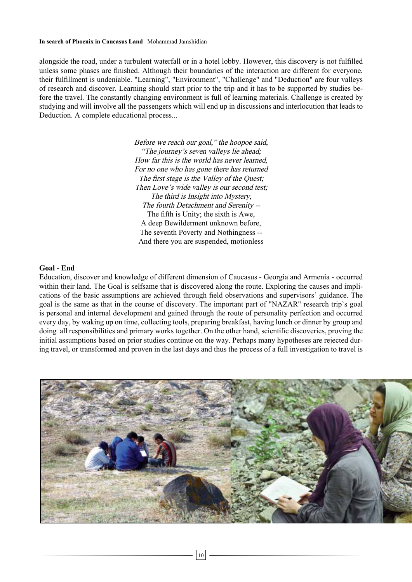#### In search of Phoenix in Caucasus Land | Mohammad Jamshidian

alongside the road, under a turbulent waterfall or in a hotel lobby. However, this discovery is not fulfilled unless some phases are finished. Although their boundaries of the interaction are different for everyone, their fulfillment is undeniable. "Learning", "Environment", "Challenge" and "Deduction" are four valleys fore the travel. The constantly changing environment is full of learning materials. Challenge is created by of research and discover. Learning should start prior to the trip and it has to be supported by studies bestudying and will involve all the passengers which will end up in discussions and interlocution that leads to Deduction. A complete educational process...

> Before we reach our goal," the hoopoe said, "The journey's seven valleys lie ahead; How far this is the world has never learned, For no one who has gone there has returned The first stage is the Valley of the Quest; Then Love's wide valley is our second test; The third is Insight into Mystery, The fourth Detachment and Serenity --The fifth is Unity; the sixth is Awe, A deep Bewilderment unknown before, The seventh Poverty and Nothingness --And there you are suspended, motionless

## **End - Goal**

Education, discover and knowledge of different dimension of Caucasus - Georgia and Armenia - occurred cations of the basic assumptions are achieved through field observations and supervisors' guidance. The within their land. The Goal is selfsame that is discovered along the route. Exploring the causes and impligoal is the same as that in the course of discovery. The important part of "NAZAR" research trip's goal is personal and internal development and gained through the route of personality perfection and occurred every day, by waking up on time, collecting tools, preparing breakfast, having lunch or dinner by group and doing all responsibilities and primary works together. On the other hand, scientific discoveries, proving the ing travel, or transformed and proven in the last days and thus the process of a full investigation to travel is initial assumptions based on prior studies continue on the way. Perhaps many hypotheses are rejected dur-